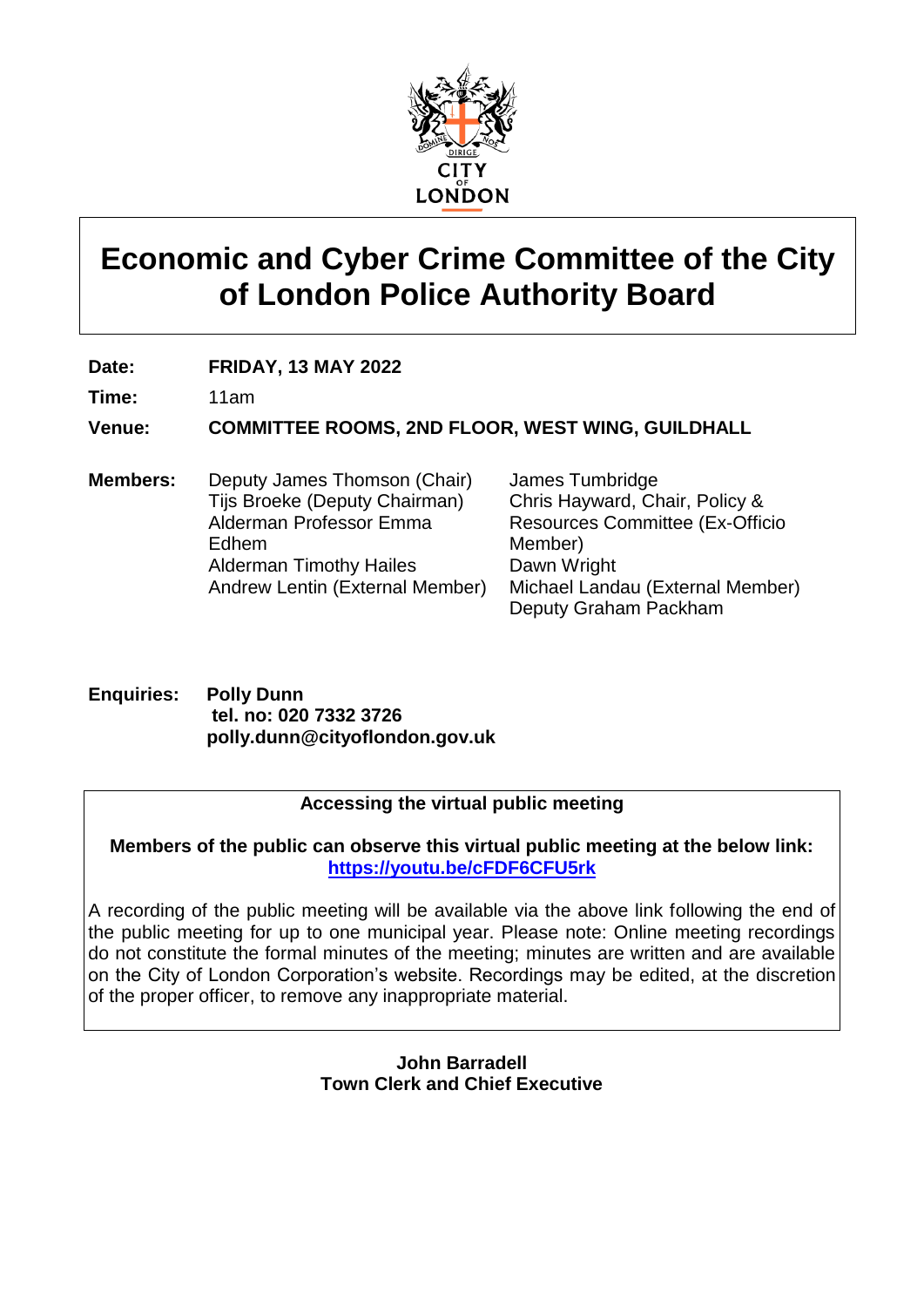

# **Economic and Cyber Crime Committee of the City of London Police Authority Board**

**Date: FRIDAY, 13 MAY 2022**

**Time:** 11am

**Venue: COMMITTEE ROOMS, 2ND FLOOR, WEST WING, GUILDHALL**

**Members:** Deputy James Thomson (Chair) Tijs Broeke (Deputy Chairman) Alderman Professor Emma Edhem Alderman Timothy Hailes Andrew Lentin (External Member)

James Tumbridge Chris Hayward, Chair, Policy & Resources Committee (Ex-Officio Member) Dawn Wright Michael Landau (External Member) Deputy Graham Packham

**Enquiries: Polly Dunn tel. no: 020 7332 3726 polly.dunn@cityoflondon.gov.uk**

#### **Accessing the virtual public meeting**

**Members of the public can observe this virtual public meeting at the below link: <https://youtu.be/cFDF6CFU5rk>**

A recording of the public meeting will be available via the above link following the end of the public meeting for up to one municipal year. Please note: Online meeting recordings do not constitute the formal minutes of the meeting; minutes are written and are available on the City of London Corporation's website. Recordings may be edited, at the discretion of the proper officer, to remove any inappropriate material.

> **John Barradell Town Clerk and Chief Executive**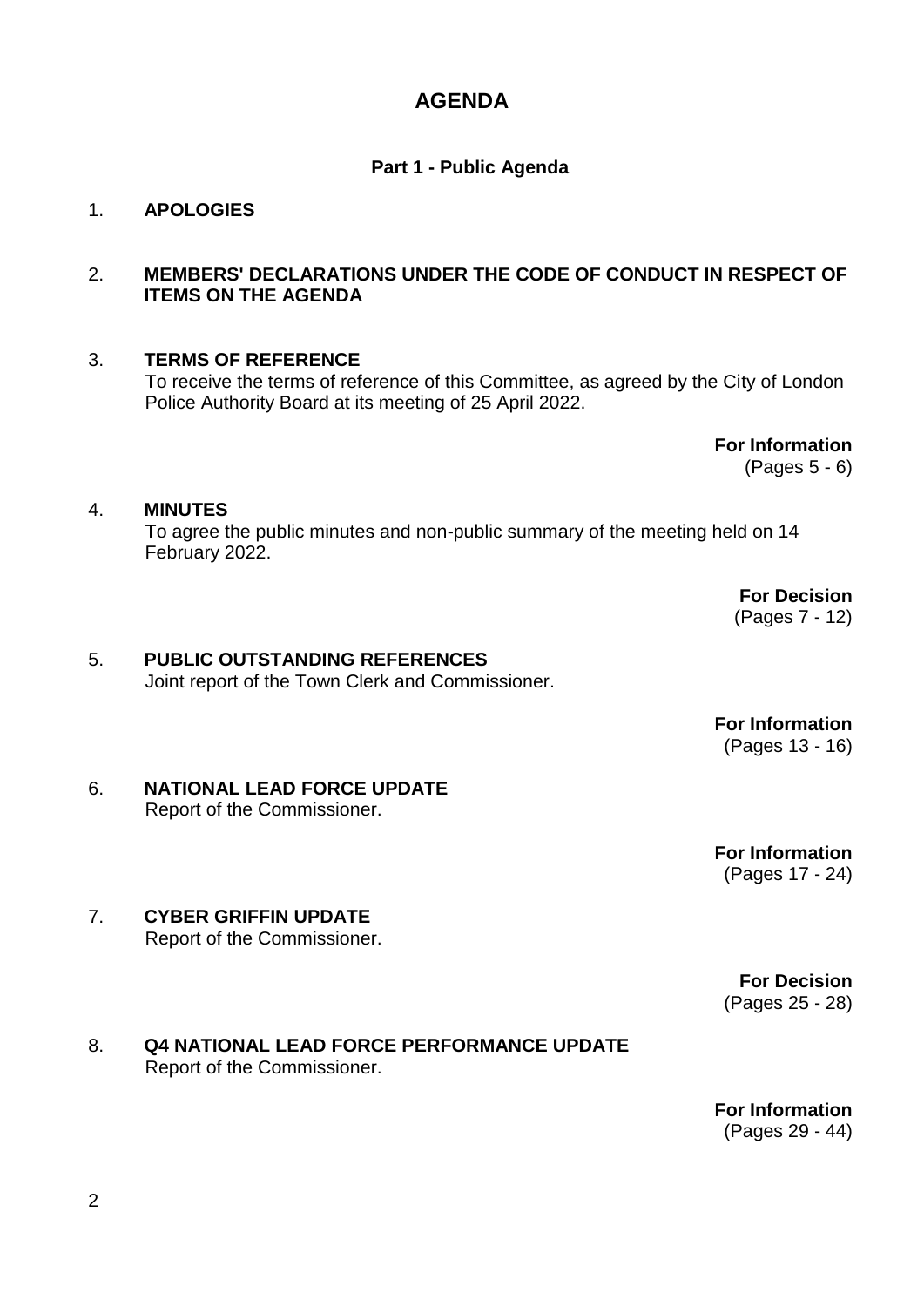### **AGENDA**

#### **Part 1 - Public Agenda**

#### 1. **APOLOGIES**

#### 2. **MEMBERS' DECLARATIONS UNDER THE CODE OF CONDUCT IN RESPECT OF ITEMS ON THE AGENDA**

#### 3. **TERMS OF REFERENCE**

To receive the terms of reference of this Committee, as agreed by the City of London Police Authority Board at its meeting of 25 April 2022.

> **For Information** (Pages 5 - 6)

#### 4. **MINUTES**

To agree the public minutes and non-public summary of the meeting held on 14 February 2022.

> **For Decision** (Pages 7 - 12)

## 5. **PUBLIC OUTSTANDING REFERENCES**

Joint report of the Town Clerk and Commissioner.

**For Information** (Pages 13 - 16)

#### 6. **NATIONAL LEAD FORCE UPDATE** Report of the Commissioner.

**For Information** (Pages 17 - 24)

7. **CYBER GRIFFIN UPDATE** Report of the Commissioner.

> **For Decision** (Pages 25 - 28)

#### 8. **Q4 NATIONAL LEAD FORCE PERFORMANCE UPDATE** Report of the Commissioner.

**For Information** (Pages 29 - 44)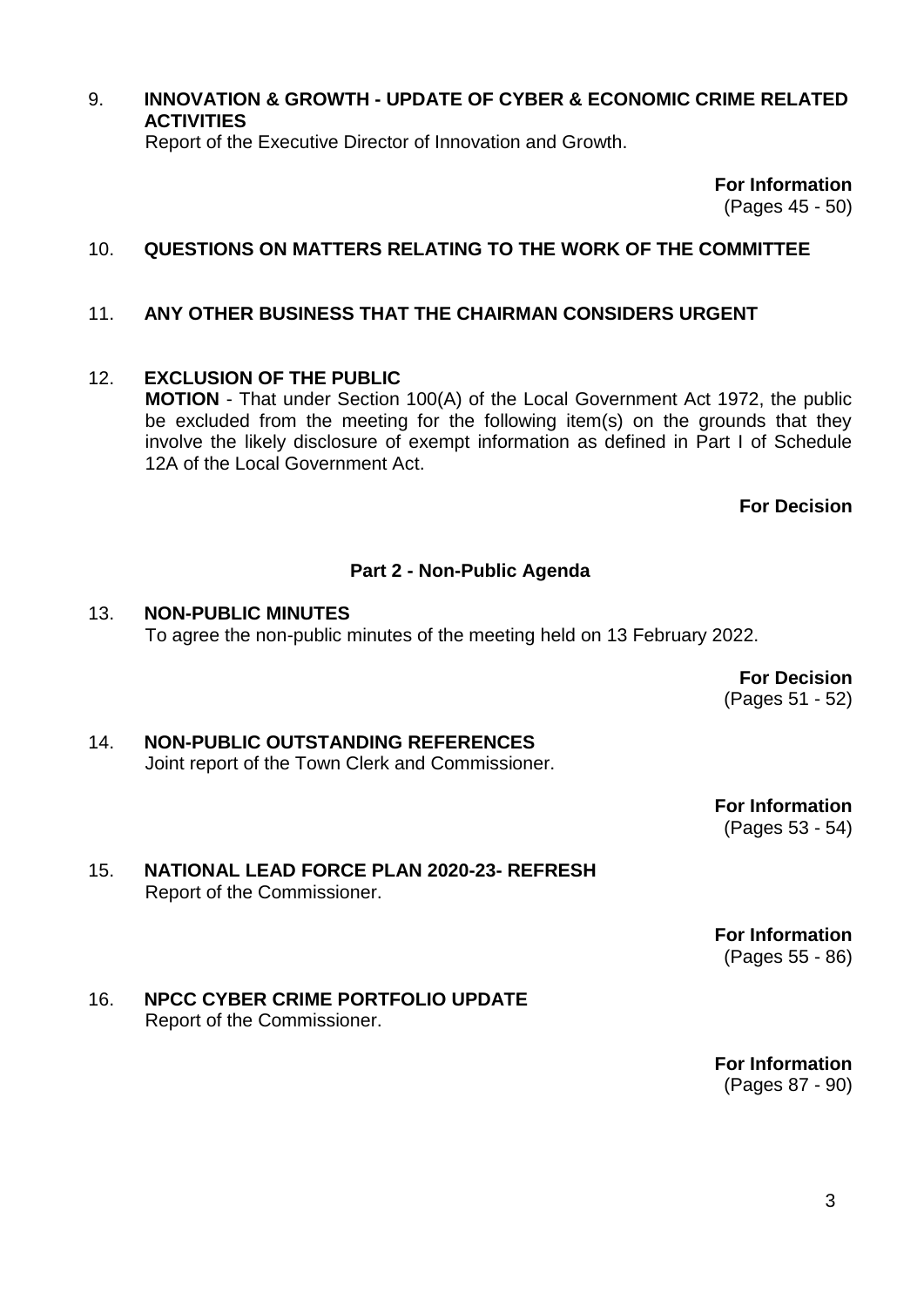#### 9. **INNOVATION & GROWTH - UPDATE OF CYBER & ECONOMIC CRIME RELATED ACTIVITIES**

Report of the Executive Director of Innovation and Growth.

**For Information** (Pages 45 - 50)

#### 10. **QUESTIONS ON MATTERS RELATING TO THE WORK OF THE COMMITTEE**

#### 11. **ANY OTHER BUSINESS THAT THE CHAIRMAN CONSIDERS URGENT**

#### 12. **EXCLUSION OF THE PUBLIC**

**MOTION** - That under Section 100(A) of the Local Government Act 1972, the public be excluded from the meeting for the following item(s) on the grounds that they involve the likely disclosure of exempt information as defined in Part I of Schedule 12A of the Local Government Act.

**For Decision**

#### **Part 2 - Non-Public Agenda**

#### 13. **NON-PUBLIC MINUTES** To agree the non-public minutes of the meeting held on 13 February 2022.

**For Decision** (Pages 51 - 52)

### 14. **NON-PUBLIC OUTSTANDING REFERENCES**

Joint report of the Town Clerk and Commissioner.

**For Information** (Pages 53 - 54)

#### 15. **NATIONAL LEAD FORCE PLAN 2020-23- REFRESH** Report of the Commissioner.

**For Information** (Pages 55 - 86)

#### 16. **NPCC CYBER CRIME PORTFOLIO UPDATE** Report of the Commissioner.

**For Information** (Pages 87 - 90)